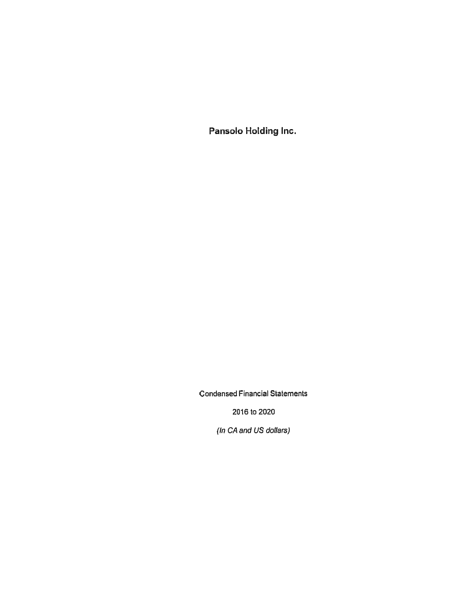Pansolo Holding Inc.

Condensed Financial Statements

2016 ta 2020

(In CA and US dollars)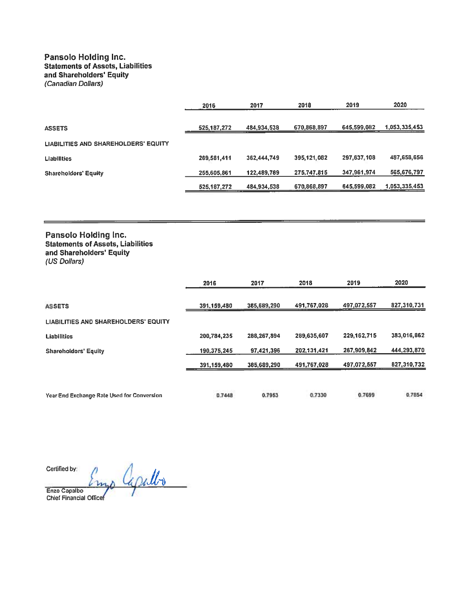## Pansolo Holding Inc. **Statements of Assets, Liabilities** and Sharoholders' Equity (Canadian Dollars)

|                                             | 2016          | 2017        | 2018        | 2019        | 2020          |
|---------------------------------------------|---------------|-------------|-------------|-------------|---------------|
| <b>ASSETS</b>                               | 525, 187, 272 | 484,934,538 | 670,868,897 | 645,599,082 | 1,053,335,453 |
| <b>LIABILITIES AND SHAREHOLDERS' EQUITY</b> |               |             |             |             |               |
| <b>Liabilities</b>                          | 269,581,411   | 362,444,749 | 395,121,082 | 297,637,108 | 487,658,656   |
| <b>Shareholders' Equity</b>                 | 255,605,861   | 122,489,789 | 275,747,815 | 347,961,974 | 565,676,797   |
|                                             | 525, 187, 272 | 484,934,538 | 670,868,897 | 645,599,082 | 1,053,335,453 |

## Pansolo Holding Inc. Statemonts of Assets, Liabilities and Shareholders' Equity (US Dollars)

|                                                   | 2016        | 2017        | 2018        | 2019        | 2020        |
|---------------------------------------------------|-------------|-------------|-------------|-------------|-------------|
| <b>ASSETS</b>                                     | 391,159,480 | 385,689,290 | 491,767,028 | 497,072,557 | 827,310,731 |
| LIABILITIES AND SHAREHOLDERS' EQUITY              |             |             |             |             |             |
| <b>Liabilities</b>                                | 200,784,235 | 288,267,894 | 289,635,607 | 229.162.715 | 383,016,862 |
| <b>Shareholders' Equity</b>                       | 190,375,245 | 97.421.396  | 202,131,421 | 267,909,842 | 444,293,870 |
|                                                   | 391,159,480 | 385,689,290 | 491,767,028 | 497,072,557 | 827,310,732 |
| <b>Year End Exchange Rate Used for Conversion</b> | 0.7448      | 0.7953      | 0.7330      | 0.7699      | 0.7854      |

Certified by:

mp apullo  $\overline{\phantom{0}}$ Enzo Capalbo<br>Chief Financial Office